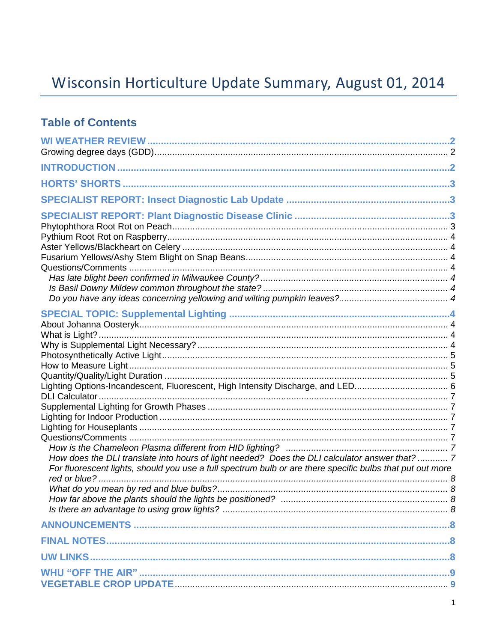# Wisconsin Horticulture Update Summary, August 01, 2014

## **Table of Contents**

| Lighting Options-Incandescent, Fluorescent, High Intensity Discharge, and LED 6<br>How does the DLI translate into hours of light needed? Does the DLI calculator answer that?  7 |  |
|-----------------------------------------------------------------------------------------------------------------------------------------------------------------------------------|--|
| For fluorescent lights, should you use a full spectrum bulb or are there specific bulbs that put out more                                                                         |  |
|                                                                                                                                                                                   |  |
|                                                                                                                                                                                   |  |
|                                                                                                                                                                                   |  |
|                                                                                                                                                                                   |  |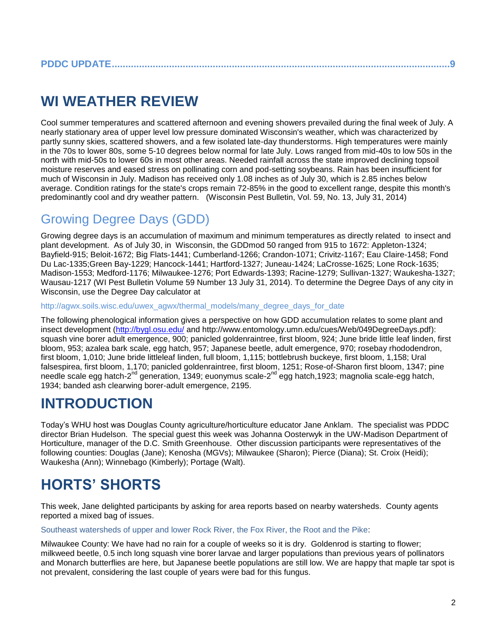## **WI WEATHER REVIEW**

Cool summer temperatures and scattered afternoon and evening showers prevailed during the final week of July. A nearly stationary area of upper level low pressure dominated Wisconsin's weather, which was characterized by partly sunny skies, scattered showers, and a few isolated late-day thunderstorms. High temperatures were mainly in the 70s to lower 80s, some 5-10 degrees below normal for late July. Lows ranged from mid-40s to low 50s in the north with mid-50s to lower 60s in most other areas. Needed rainfall across the state improved declining topsoil moisture reserves and eased stress on pollinating corn and pod-setting soybeans. Rain has been insufficient for much of Wisconsin in July. Madison has received only 1.08 inches as of July 30, which is 2.85 inches below average. Condition ratings for the state's crops remain 72-85% in the good to excellent range, despite this month's predominantly cool and dry weather pattern. (Wisconsin Pest Bulletin, Vol. 59, No. 13, July 31, 2014)

## Growing Degree Days (GDD)

Growing degree days is an accumulation of maximum and minimum temperatures as directly related to insect and plant development. As of July 30, in Wisconsin, the GDDmod 50 ranged from 915 to 1672: Appleton-1324; Bayfield-915; Beloit-1672; Big Flats-1441; Cumberland-1266; Crandon-1071; Crivitz-1167; Eau Claire-1458; Fond Du Lac-1335;Green Bay-1229; Hancock-1441; Hartford-1327; Juneau-1424; LaCrosse-1625; Lone Rock-1635; Madison-1553; Medford-1176; Milwaukee-1276; Port Edwards-1393; Racine-1279; Sullivan-1327; Waukesha-1327; Wausau-1217 (WI Pest Bulletin Volume 59 Number 13 July 31, 2014). To determine the Degree Days of any city in Wisconsin, use the Degree Day calculator at

http://agwx.soils.wisc.edu/uwex\_agwx/thermal\_models/many\_degree\_days\_for\_date

The following phenological information gives a perspective on how GDD accumulation relates to some plant and insect development [\(http://bygl.osu.edu/](http://bygl.osu.edu/) and http://www.entomology.umn.edu/cues/Web/049DegreeDays.pdf): squash vine borer adult emergence, 900; panicled goldenraintree, first bloom, 924; June bride little leaf linden, first bloom, 953; azalea bark scale, egg hatch, 957; Japanese beetle, adult emergence, 970; rosebay rhododendron, first bloom, 1,010; June bride littleleaf linden, full bloom, 1,115; bottlebrush buckeye, first bloom, 1,158; Ural falsespirea, first bloom, 1,170; panicled goldenraintree, first bloom, 1251; Rose-of-Sharon first bloom, 1347; pine needle scale egg hatch-2<sup>nd</sup> generation, 1349; euonymus scale-2<sup>nd</sup> egg hatch,1923; magnolia scale-egg hatch, 1934; banded ash clearwing borer-adult emergence, 2195.

## **INTRODUCTION**

Today's WHU host was Douglas County agriculture/horticulture educator Jane Anklam. The specialist was PDDC director Brian Hudelson. The special guest this week was Johanna Oosterwyk in the UW-Madison Department of Horticulture, manager of the D.C. Smith Greenhouse. Other discussion participants were representatives of the following counties: Douglas (Jane); Kenosha (MGVs); Milwaukee (Sharon); Pierce (Diana); St. Croix (Heidi); Waukesha (Ann); Winnebago (Kimberly); Portage (Walt).

# **HORTS' SHORTS**

This week, Jane delighted participants by asking for area reports based on nearby watersheds. County agents reported a mixed bag of issues.

Southeast watersheds of upper and lower Rock River, the Fox River, the Root and the Pike:

Milwaukee County: We have had no rain for a couple of weeks so it is dry. Goldenrod is starting to flower; milkweed beetle, 0.5 inch long squash vine borer larvae and larger populations than previous years of pollinators and Monarch butterflies are here, but Japanese beetle populations are still low. We are happy that maple tar spot is not prevalent, considering the last couple of years were bad for this fungus.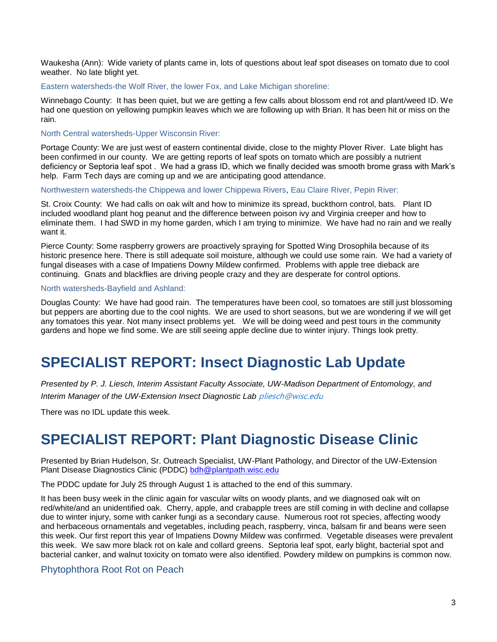Waukesha (Ann): Wide variety of plants came in, lots of questions about leaf spot diseases on tomato due to cool weather. No late blight yet.

Eastern watersheds-the Wolf River, the lower Fox, and Lake Michigan shoreline:

Winnebago County: It has been quiet, but we are getting a few calls about blossom end rot and plant/weed ID. We had one question on yellowing pumpkin leaves which we are following up with Brian. It has been hit or miss on the rain.

North Central watersheds-Upper Wisconsin River:

Portage County: We are just west of eastern continental divide, close to the mighty Plover River. Late blight has been confirmed in our county. We are getting reports of leaf spots on tomato which are possibly a nutrient deficiency or Septoria leaf spot . We had a grass ID, which we finally decided was smooth brome grass with Mark's help. Farm Tech days are coming up and we are anticipating good attendance.

Northwestern watersheds-the Chippewa and lower Chippewa Rivers, Eau Claire River, Pepin River:

St. Croix County: We had calls on oak wilt and how to minimize its spread, buckthorn control, bats. Plant ID included woodland plant hog peanut and the difference between poison ivy and Virginia creeper and how to eliminate them. I had SWD in my home garden, which I am trying to minimize. We have had no rain and we really want it.

Pierce County: Some raspberry growers are proactively spraying for Spotted Wing Drosophila because of its historic presence here. There is still adequate soil moisture, although we could use some rain. We had a variety of fungal diseases with a case of Impatiens Downy Mildew confirmed. Problems with apple tree dieback are continuing. Gnats and blackflies are driving people crazy and they are desperate for control options.

#### North watersheds-Bayfield and Ashland:

Douglas County: We have had good rain. The temperatures have been cool, so tomatoes are still just blossoming but peppers are aborting due to the cool nights. We are used to short seasons, but we are wondering if we will get any tomatoes this year. Not many insect problems yet. We will be doing weed and pest tours in the community gardens and hope we find some. We are still seeing apple decline due to winter injury. Things look pretty.

## **SPECIALIST REPORT: Insect Diagnostic Lab Update**

*Presented by P. J. Liesch, Interim Assistant Faculty Associate, UW-Madison Department of Entomology, and Interim Manager of the UW-Extension Insect Diagnostic Lab* [pliesch@wisc.edu](mailto:pliesch@wisc.edu)

There was no IDL update this week.

## **SPECIALIST REPORT: Plant Diagnostic Disease Clinic**

Presented by Brian Hudelson, Sr. Outreach Specialist, UW-Plant Pathology, and Director of the UW-Extension Plant Disease Diagnostics Clinic (PDDC) [bdh@plantpath.wisc.edu](mailto:bdh@plantpath.wisc.edu)

The PDDC update for July 25 through August 1 is attached to the end of this summary.

It has been busy week in the clinic again for vascular wilts on woody plants, and we diagnosed oak wilt on red/white/and an unidentified oak. Cherry, apple, and crabapple trees are still coming in with decline and collapse due to winter injury, some with canker fungi as a secondary cause. Numerous root rot species, affecting woody and herbaceous ornamentals and vegetables, including peach, raspberry, vinca, balsam fir and beans were seen this week. Our first report this year of Impatiens Downy Mildew was confirmed. Vegetable diseases were prevalent this week. We saw more black rot on kale and collard greens. Septoria leaf spot, early blight, bacterial spot and bacterial canker, and walnut toxicity on tomato were also identified. Powdery mildew on pumpkins is common now.

#### Phytophthora Root Rot on Peach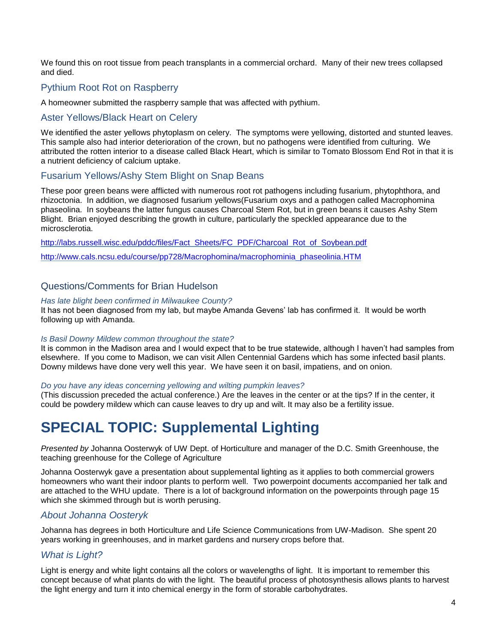We found this on root tissue from peach transplants in a commercial orchard. Many of their new trees collapsed and died.

## Pythium Root Rot on Raspberry

A homeowner submitted the raspberry sample that was affected with pythium.

### Aster Yellows/Black Heart on Celery

We identified the aster yellows phytoplasm on celery. The symptoms were yellowing, distorted and stunted leaves. This sample also had interior deterioration of the crown, but no pathogens were identified from culturing. We attributed the rotten interior to a disease called Black Heart, which is similar to Tomato Blossom End Rot in that it is a nutrient deficiency of calcium uptake.

### Fusarium Yellows/Ashy Stem Blight on Snap Beans

These poor green beans were afflicted with numerous root rot pathogens including fusarium, phytophthora, and rhizoctonia. In addition, we diagnosed fusarium yellows(Fusarium oxys and a pathogen called Macrophomina phaseolina. In soybeans the latter fungus causes Charcoal Stem Rot, but in green beans it causes Ashy Stem Blight. Brian enjoyed describing the growth in culture, particularly the speckled appearance due to the microsclerotia.

[http://labs.russell.wisc.edu/pddc/files/Fact\\_Sheets/FC\\_PDF/Charcoal\\_Rot\\_of\\_Soybean.pdf](http://labs.russell.wisc.edu/pddc/files/Fact_Sheets/FC_PDF/Charcoal_Rot_of_Soybean.pdf) [http://www.cals.ncsu.edu/course/pp728/Macrophomina/macrophominia\\_phaseolinia.HTM](http://www.cals.ncsu.edu/course/pp728/Macrophomina/macrophominia_phaseolinia.HTM)

### Questions/Comments for Brian Hudelson

#### *Has late blight been confirmed in Milwaukee County?*

It has not been diagnosed from my lab, but maybe Amanda Gevens' lab has confirmed it. It would be worth following up with Amanda.

#### *Is Basil Downy Mildew common throughout the state?*

It is common in the Madison area and I would expect that to be true statewide, although I haven't had samples from elsewhere. If you come to Madison, we can visit Allen Centennial Gardens which has some infected basil plants. Downy mildews have done very well this year. We have seen it on basil, impatiens, and on onion.

#### *Do you have any ideas concerning yellowing and wilting pumpkin leaves?*

(This discussion preceded the actual conference.) Are the leaves in the center or at the tips? If in the center, it could be powdery mildew which can cause leaves to dry up and wilt. It may also be a fertility issue.

## **SPECIAL TOPIC: Supplemental Lighting**

*Presented by* Johanna Oosterwyk of UW Dept. of Horticulture and manager of the D.C. Smith Greenhouse, the teaching greenhouse for the College of Agriculture

Johanna Oosterwyk gave a presentation about supplemental lighting as it applies to both commercial growers homeowners who want their indoor plants to perform well. Two powerpoint documents accompanied her talk and are attached to the WHU update. There is a lot of background information on the powerpoints through page 15 which she skimmed through but is worth perusing.

### *About Johanna Oosteryk*

Johanna has degrees in both Horticulture and Life Science Communications from UW-Madison. She spent 20 years working in greenhouses, and in market gardens and nursery crops before that.

### *What is Light?*

Light is energy and white light contains all the colors or wavelengths of light. It is important to remember this concept because of what plants do with the light. The beautiful process of photosynthesis allows plants to harvest the light energy and turn it into chemical energy in the form of storable carbohydrates.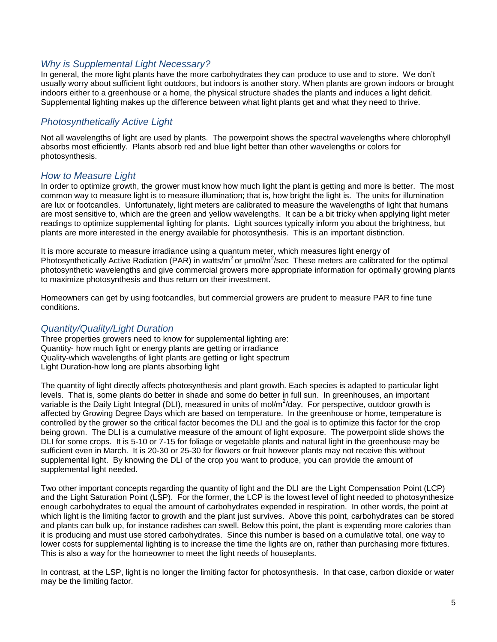### *Why is Supplemental Light Necessary?*

In general, the more light plants have the more carbohydrates they can produce to use and to store. We don't usually worry about sufficient light outdoors, but indoors is another story. When plants are grown indoors or brought indoors either to a greenhouse or a home, the physical structure shades the plants and induces a light deficit. Supplemental lighting makes up the difference between what light plants get and what they need to thrive.

## *Photosynthetically Active Light*

Not all wavelengths of light are used by plants. The powerpoint shows the spectral wavelengths where chlorophyll absorbs most efficiently. Plants absorb red and blue light better than other wavelengths or colors for photosynthesis.

### *How to Measure Light*

In order to optimize growth, the grower must know how much light the plant is getting and more is better. The most common way to measure light is to measure illumination; that is, how bright the light is. The units for illumination are lux or footcandles. Unfortunately, light meters are calibrated to measure the wavelengths of light that humans are most sensitive to, which are the green and yellow wavelengths. It can be a bit tricky when applying light meter readings to optimize supplemental lighting for plants. Light sources typically inform you about the brightness, but plants are more interested in the energy available for photosynthesis. This is an important distinction.

It is more accurate to measure irradiance using a quantum meter, which measures light energy of Photosynthetically Active Radiation (PAR) in watts/ $m^2$  or  $\mu$ mol/m<sup>2</sup>/sec These meters are calibrated for the optimal photosynthetic wavelengths and give commercial growers more appropriate information for optimally growing plants to maximize photosynthesis and thus return on their investment.

Homeowners can get by using footcandles, but commercial growers are prudent to measure PAR to fine tune conditions.

### *Quantity/Quality/Light Duration*

Three properties growers need to know for supplemental lighting are: Quantity- how much light or energy plants are getting or irradiance Quality-which wavelengths of light plants are getting or light spectrum Light Duration-how long are plants absorbing light

The quantity of light directly affects photosynthesis and plant growth. Each species is adapted to particular light levels. That is, some plants do better in shade and some do better in full sun. In greenhouses, an important variable is the Daily Light Integral (DLI), measured in units of mol/m<sup>2</sup>/day. For perspective, outdoor growth is affected by Growing Degree Days which are based on temperature. In the greenhouse or home, temperature is controlled by the grower so the critical factor becomes the DLI and the goal is to optimize this factor for the crop being grown. The DLI is a cumulative measure of the amount of light exposure. The powerpoint slide shows the DLI for some crops. It is 5-10 or 7-15 for foliage or vegetable plants and natural light in the greenhouse may be sufficient even in March. It is 20-30 or 25-30 for flowers or fruit however plants may not receive this without supplemental light. By knowing the DLI of the crop you want to produce, you can provide the amount of supplemental light needed.

Two other important concepts regarding the quantity of light and the DLI are the Light Compensation Point (LCP) and the Light Saturation Point (LSP). For the former, the LCP is the lowest level of light needed to photosynthesize enough carbohydrates to equal the amount of carbohydrates expended in respiration. In other words, the point at which light is the limiting factor to growth and the plant just survives. Above this point, carbohydrates can be stored and plants can bulk up, for instance radishes can swell. Below this point, the plant is expending more calories than it is producing and must use stored carbohydrates. Since this number is based on a cumulative total, one way to lower costs for supplemental lighting is to increase the time the lights are on, rather than purchasing more fixtures. This is also a way for the homeowner to meet the light needs of houseplants.

In contrast, at the LSP, light is no longer the limiting factor for photosynthesis. In that case, carbon dioxide or water may be the limiting factor.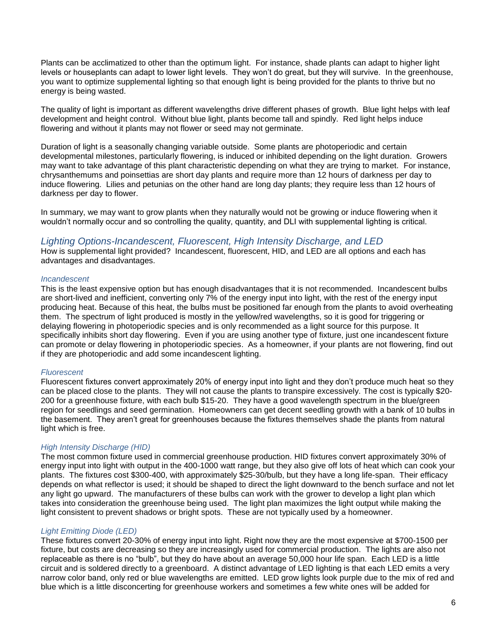Plants can be acclimatized to other than the optimum light. For instance, shade plants can adapt to higher light levels or houseplants can adapt to lower light levels. They won't do great, but they will survive. In the greenhouse, you want to optimize supplemental lighting so that enough light is being provided for the plants to thrive but no energy is being wasted.

The quality of light is important as different wavelengths drive different phases of growth. Blue light helps with leaf development and height control. Without blue light, plants become tall and spindly. Red light helps induce flowering and without it plants may not flower or seed may not germinate.

Duration of light is a seasonally changing variable outside. Some plants are photoperiodic and certain developmental milestones, particularly flowering, is induced or inhibited depending on the light duration. Growers may want to take advantage of this plant characteristic depending on what they are trying to market. For instance, chrysanthemums and poinsettias are short day plants and require more than 12 hours of darkness per day to induce flowering. Lilies and petunias on the other hand are long day plants; they require less than 12 hours of darkness per day to flower.

In summary, we may want to grow plants when they naturally would not be growing or induce flowering when it wouldn't normally occur and so controlling the quality, quantity, and DLI with supplemental lighting is critical.

#### *Lighting Options-Incandescent, Fluorescent, High Intensity Discharge, and LED*

How is supplemental light provided? Incandescent, fluorescent, HID, and LED are all options and each has advantages and disadvantages.

#### *Incandescent*

This is the least expensive option but has enough disadvantages that it is not recommended. Incandescent bulbs are short-lived and inefficient, converting only 7% of the energy input into light, with the rest of the energy input producing heat. Because of this heat, the bulbs must be positioned far enough from the plants to avoid overheating them. The spectrum of light produced is mostly in the yellow/red wavelengths, so it is good for triggering or delaying flowering in photoperiodic species and is only recommended as a light source for this purpose. It specifically inhibits short day flowering. Even if you are using another type of fixture, just one incandescent fixture can promote or delay flowering in photoperiodic species. As a homeowner, if your plants are not flowering, find out if they are photoperiodic and add some incandescent lighting.

#### *Fluorescent*

Fluorescent fixtures convert approximately 20% of energy input into light and they don't produce much heat so they can be placed close to the plants. They will not cause the plants to transpire excessively. The cost is typically \$20- 200 for a greenhouse fixture, with each bulb \$15-20. They have a good wavelength spectrum in the blue/green region for seedlings and seed germination. Homeowners can get decent seedling growth with a bank of 10 bulbs in the basement. They aren't great for greenhouses because the fixtures themselves shade the plants from natural light which is free.

#### *High Intensity Discharge (HID)*

The most common fixture used in commercial greenhouse production. HID fixtures convert approximately 30% of energy input into light with output in the 400-1000 watt range, but they also give off lots of heat which can cook your plants. The fixtures cost \$300-400, with approximately \$25-30/bulb, but they have a long life-span. Their efficacy depends on what reflector is used; it should be shaped to direct the light downward to the bench surface and not let any light go upward. The manufacturers of these bulbs can work with the grower to develop a light plan which takes into consideration the greenhouse being used. The light plan maximizes the light output while making the light consistent to prevent shadows or bright spots. These are not typically used by a homeowner.

#### *Light Emitting Diode (LED)*

These fixtures convert 20-30% of energy input into light. Right now they are the most expensive at \$700-1500 per fixture, but costs are decreasing so they are increasingly used for commercial production. The lights are also not replaceable as there is no "bulb", but they do have about an average 50,000 hour life span. Each LED is a little circuit and is soldered directly to a greenboard. A distinct advantage of LED lighting is that each LED emits a very narrow color band, only red or blue wavelengths are emitted. LED grow lights look purple due to the mix of red and blue which is a little disconcerting for greenhouse workers and sometimes a few white ones will be added for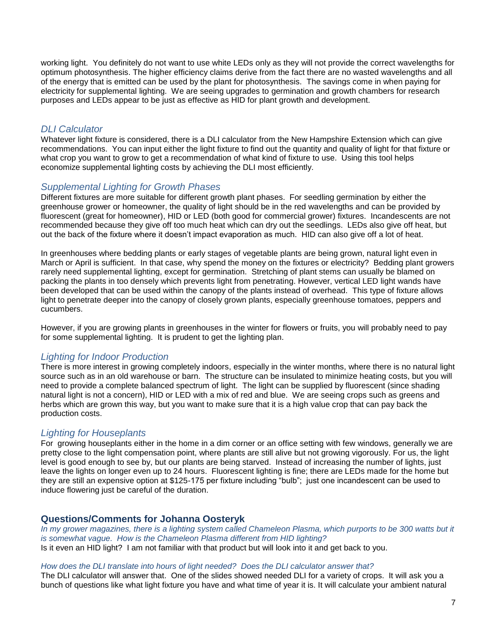working light. You definitely do not want to use white LEDs only as they will not provide the correct wavelengths for optimum photosynthesis. The higher efficiency claims derive from the fact there are no wasted wavelengths and all of the energy that is emitted can be used by the plant for photosynthesis. The savings come in when paying for electricity for supplemental lighting. We are seeing upgrades to germination and growth chambers for research purposes and LEDs appear to be just as effective as HID for plant growth and development.

## *DLI Calculator*

Whatever light fixture is considered, there is a DLI calculator from the New Hampshire Extension which can give recommendations. You can input either the light fixture to find out the quantity and quality of light for that fixture or what crop you want to grow to get a recommendation of what kind of fixture to use. Using this tool helps economize supplemental lighting costs by achieving the DLI most efficiently.

## *Supplemental Lighting for Growth Phases*

Different fixtures are more suitable for different growth plant phases. For seedling germination by either the greenhouse grower or homeowner, the quality of light should be in the red wavelengths and can be provided by fluorescent (great for homeowner), HID or LED (both good for commercial grower) fixtures. Incandescents are not recommended because they give off too much heat which can dry out the seedlings. LEDs also give off heat, but out the back of the fixture where it doesn't impact evaporation as much. HID can also give off a lot of heat.

In greenhouses where bedding plants or early stages of vegetable plants are being grown, natural light even in March or April is sufficient. In that case, why spend the money on the fixtures or electricity? Bedding plant growers rarely need supplemental lighting, except for germination. Stretching of plant stems can usually be blamed on packing the plants in too densely which prevents light from penetrating. However, vertical LED light wands have been developed that can be used within the canopy of the plants instead of overhead. This type of fixture allows light to penetrate deeper into the canopy of closely grown plants, especially greenhouse tomatoes, peppers and cucumbers.

However, if you are growing plants in greenhouses in the winter for flowers or fruits, you will probably need to pay for some supplemental lighting. It is prudent to get the lighting plan.

## *Lighting for Indoor Production*

There is more interest in growing completely indoors, especially in the winter months, where there is no natural light source such as in an old warehouse or barn. The structure can be insulated to minimize heating costs, but you will need to provide a complete balanced spectrum of light. The light can be supplied by fluorescent (since shading natural light is not a concern), HID or LED with a mix of red and blue. We are seeing crops such as greens and herbs which are grown this way, but you want to make sure that it is a high value crop that can pay back the production costs.

## *Lighting for Houseplants*

For growing houseplants either in the home in a dim corner or an office setting with few windows, generally we are pretty close to the light compensation point, where plants are still alive but not growing vigorously. For us, the light level is good enough to see by, but our plants are being starved. Instead of increasing the number of lights, just leave the lights on longer even up to 24 hours. Fluorescent lighting is fine; there are LEDs made for the home but they are still an expensive option at \$125-175 per fixture including "bulb"; just one incandescent can be used to induce flowering just be careful of the duration.

## **Questions/Comments for Johanna Oosteryk**

In my grower magazines, there is a lighting system called Chameleon Plasma, which purports to be 300 watts but it *is somewhat vague. How is the Chameleon Plasma different from HID lighting?*  Is it even an HID light? I am not familiar with that product but will look into it and get back to you.

### *How does the DLI translate into hours of light needed? Does the DLI calculator answer that?*

The DLI calculator will answer that. One of the slides showed needed DLI for a variety of crops. It will ask you a bunch of questions like what light fixture you have and what time of year it is. It will calculate your ambient natural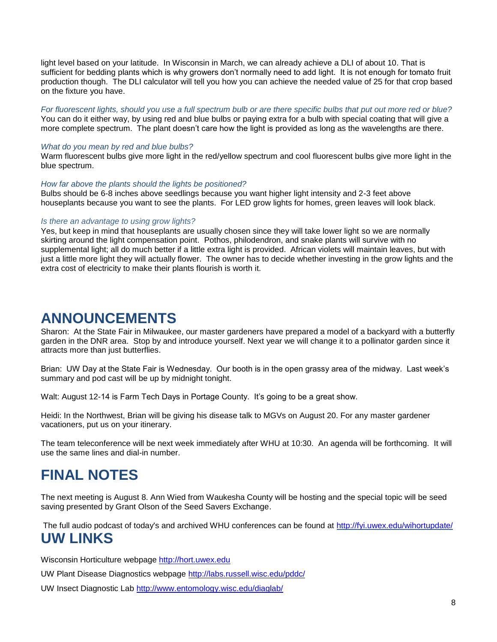light level based on your latitude. In Wisconsin in March, we can already achieve a DLI of about 10. That is sufficient for bedding plants which is why growers don't normally need to add light. It is not enough for tomato fruit production though. The DLI calculator will tell you how you can achieve the needed value of 25 for that crop based on the fixture you have.

*For fluorescent lights, should you use a full spectrum bulb or are there specific bulbs that put out more red or blue?*  You can do it either way, by using red and blue bulbs or paying extra for a bulb with special coating that will give a more complete spectrum. The plant doesn't care how the light is provided as long as the wavelengths are there.

#### *What do you mean by red and blue bulbs?*

Warm fluorescent bulbs give more light in the red/yellow spectrum and cool fluorescent bulbs give more light in the blue spectrum.

#### *How far above the plants should the lights be positioned?*

Bulbs should be 6-8 inches above seedlings because you want higher light intensity and 2-3 feet above houseplants because you want to see the plants. For LED grow lights for homes, green leaves will look black.

#### *Is there an advantage to using grow lights?*

Yes, but keep in mind that houseplants are usually chosen since they will take lower light so we are normally skirting around the light compensation point. Pothos, philodendron, and snake plants will survive with no supplemental light; all do much better if a little extra light is provided. African violets will maintain leaves, but with just a little more light they will actually flower. The owner has to decide whether investing in the grow lights and the extra cost of electricity to make their plants flourish is worth it.

## **ANNOUNCEMENTS**

Sharon: At the State Fair in Milwaukee, our master gardeners have prepared a model of a backyard with a butterfly garden in the DNR area. Stop by and introduce yourself. Next year we will change it to a pollinator garden since it attracts more than just butterflies.

Brian: UW Day at the State Fair is Wednesday. Our booth is in the open grassy area of the midway. Last week's summary and pod cast will be up by midnight tonight.

Walt: August 12-14 is Farm Tech Days in Portage County. It's going to be a great show.

Heidi: In the Northwest, Brian will be giving his disease talk to MGVs on August 20. For any master gardener vacationers, put us on your itinerary.

The team teleconference will be next week immediately after WHU at 10:30. An agenda will be forthcoming. It will use the same lines and dial-in number.

## **FINAL NOTES**

The next meeting is August 8. Ann Wied from Waukesha County will be hosting and the special topic will be seed saving presented by Grant Olson of the Seed Savers Exchange.

The full audio podcast of today's and archived WHU conferences can be found at<http://fyi.uwex.edu/wihortupdate/> **UW LINKS**

Wisconsin Horticulture webpage [http://hort.uwex.edu](http://hort.uwex.edu/)

UW Plant Disease Diagnostics webpage <http://labs.russell.wisc.edu/pddc/>

UW Insect Diagnostic Lab<http://www.entomology.wisc.edu/diaglab/>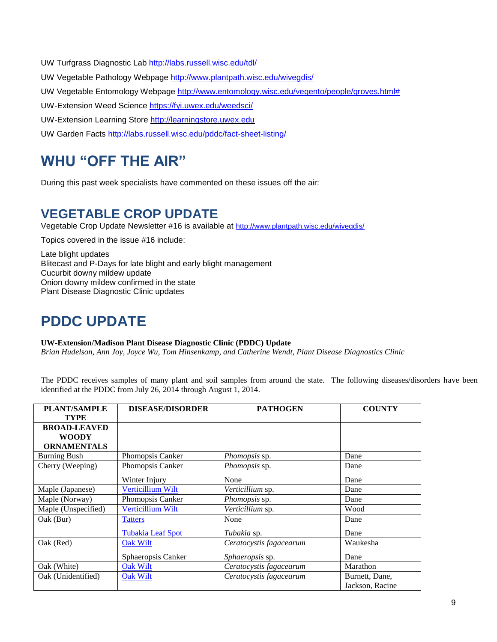UW Turfgrass Diagnostic Lab<http://labs.russell.wisc.edu/tdl/>

UW Vegetable Pathology Webpage<http://www.plantpath.wisc.edu/wivegdis/>

UW Vegetable Entomology Webpage [http://www.entomology.wisc.edu/vegento/people/groves.html#](http://www.entomology.wisc.edu/vegento/people/groves.html%23)

UW-Extension Weed Science https://fyi.uwex.edu/weedsci/

UW-Extension Learning Store [http://learningstore.uwex.edu](http://learningstore.uwex.edu/)

UW Garden Facts <http://labs.russell.wisc.edu/pddc/fact-sheet-listing/>

## **WHU "OFF THE AIR"**

During this past week specialists have commented on these issues off the air:

## **VEGETABLE CROP UPDATE**

Vegetable Crop Update Newsletter #16 is available at http://www.plantpath.wisc.edu/wivegdis/

Topics covered in the issue #16 include:

Late blight updates Blitecast and P-Days for late blight and early blight management Cucurbit downy mildew update Onion downy mildew confirmed in the state Plant Disease Diagnostic Clinic updates

## **PDDC UPDATE**

#### **UW-Extension/Madison Plant Disease Diagnostic Clinic (PDDC) Update**

*Brian Hudelson, Ann Joy, Joyce Wu, Tom Hinsenkamp, and Catherine Wendt, Plant Disease Diagnostics Clinic*

The PDDC receives samples of many plant and soil samples from around the state. The following diseases/disorders have been identified at the PDDC from July 26, 2014 through August 1, 2014.

| <b>PLANT/SAMPLE</b> | <b>DISEASE/DISORDER</b>  | <b>PATHOGEN</b>         | <b>COUNTY</b>   |
|---------------------|--------------------------|-------------------------|-----------------|
| <b>TYPE</b>         |                          |                         |                 |
| <b>BROAD-LEAVED</b> |                          |                         |                 |
| <b>WOODY</b>        |                          |                         |                 |
| <b>ORNAMENTALS</b>  |                          |                         |                 |
| <b>Burning Bush</b> | Phomopsis Canker         | <i>Phomopsis</i> sp.    | Dane            |
| Cherry (Weeping)    | Phomopsis Canker         | <i>Phomopsis</i> sp.    | Dane            |
|                     | Winter Injury            | None                    | Dane            |
| Maple (Japanese)    | Verticillium Wilt        | Verticillium sp.        | Dane            |
| Maple (Norway)      | Phomopsis Canker         | Phomopsis sp.           | Dane            |
| Maple (Unspecified) | Verticillium Wilt        | Verticillium sp.        | Wood            |
| Oak (Bur)           | <b>Tatters</b>           | None                    | Dane            |
|                     | <b>Tubakia Leaf Spot</b> | Tubakia sp.             | Dane            |
| Oak (Red)           | <b>Oak Wilt</b>          | Ceratocystis fagacearum | Waukesha        |
|                     | Sphaeropsis Canker       | <i>Sphaeropsis</i> sp.  | Dane            |
| Oak (White)         | <b>Oak Wilt</b>          | Ceratocystis fagacearum | Marathon        |
| Oak (Unidentified)  | <b>Oak Wilt</b>          | Ceratocystis fagacearum | Burnett, Dane,  |
|                     |                          |                         | Jackson, Racine |